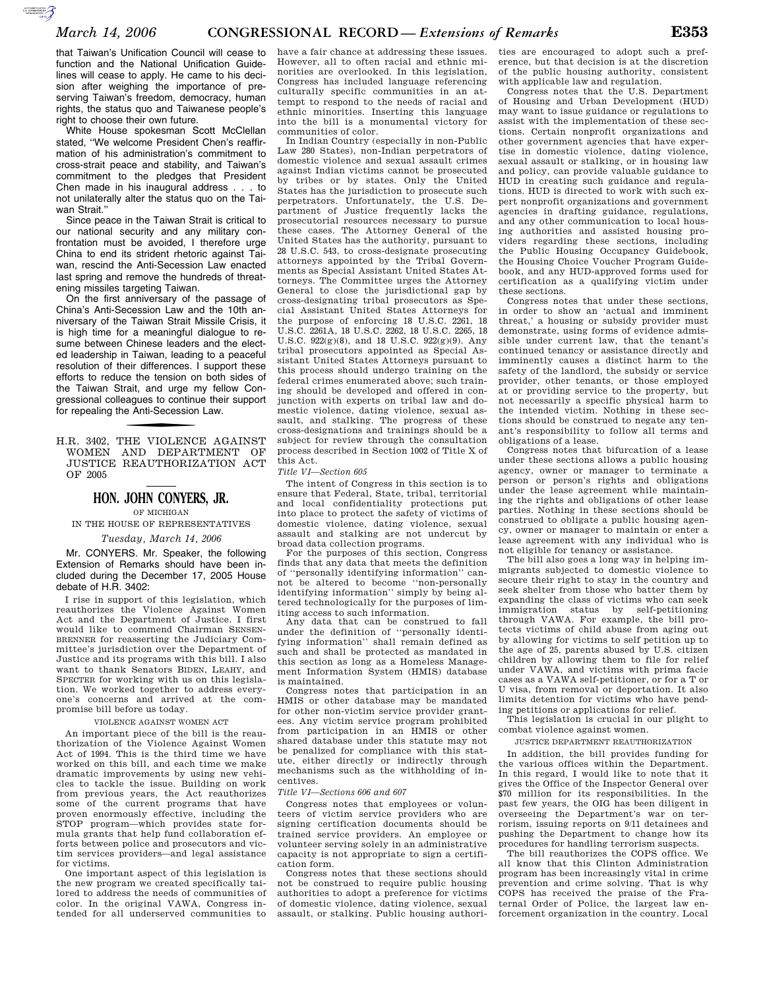that Taiwan's Unification Council will cease to function and the National Unification Guidelines will cease to apply. He came to his decision after weighing the importance of preserving Taiwan's freedom, democracy, human rights, the status quo and Taiwanese people's right to choose their own future.

 $\sum_{\substack{\text{SUSBUSDOS} \\\text{SUSBUSDOS}}}$ 

White House spokesman Scott McClellan stated, ''We welcome President Chen's reaffirmation of his administration's commitment to cross-strait peace and stability, and Taiwan's commitment to the pledges that President Chen made in his inaugural address . . . to not unilaterally alter the status quo on the Taiwan Strait.''

Since peace in the Taiwan Strait is critical to our national security and any military confrontation must be avoided, I therefore urge China to end its strident rhetoric against Taiwan, rescind the Anti-Secession Law enacted last spring and remove the hundreds of threatening missiles targeting Taiwan.

On the first anniversary of the passage of China's Anti-Secession Law and the 10th anniversary of the Taiwan Strait Missile Crisis, it is high time for a meaningful dialogue to resume between Chinese leaders and the elected leadership in Taiwan, leading to a peaceful resolution of their differences. I support these efforts to reduce the tension on both sides of the Taiwan Strait, and urge my fellow Congressional colleagues to continue their support for repealing the Anti-Secession Law.

f H.R. 3402, THE VIOLENCE AGAINST WOMEN AND DEPARTMENT OF JUSTICE REAUTHORIZATION ACT OF 2005

# **HON. JOHN CONYERS, JR.**

OF MICHIGAN

# IN THE HOUSE OF REPRESENTATIVES

### *Tuesday, March 14, 2006*

Mr. CONYERS. Mr. Speaker, the following Extension of Remarks should have been included during the December 17, 2005 House debate of H.R. 3402:

I rise in support of this legislation, which reauthorizes the Violence Against Women Act and the Department of Justice. I first would like to commend Chairman SENSEN-BRENNER for reasserting the Judiciary Committee's jurisdiction over the Department of Justice and its programs with this bill. I also want to thank Senators BIDEN, LEAHY, and SPECTER for working with us on this legislation. We worked together to address everyone's concerns and arrived at the compromise bill before us today.

#### VIOLENCE AGAINST WOMEN ACT

An important piece of the bill is the reauthorization of the Violence Against Women Act of 1994. This is the third time we have worked on this bill, and each time we make dramatic improvements by using new vehicles to tackle the issue. Building on work from previous years, the Act reauthorizes some of the current programs that have proven enormously effective, including the STOP program—which provides state formula grants that help fund collaboration efforts between police and prosecutors and victim services providers—and legal assistance for victims.

One important aspect of this legislation is the new program we created specifically tailored to address the needs of communities of color. In the original VAWA, Congress intended for all underserved communities to

have a fair chance at addressing these issues. However, all to often racial and ethnic minorities are overlooked. In this legislation, Congress has included language referencing culturally specific communities in an attempt to respond to the needs of racial and ethnic minorities. Inserting this language into the bill is a monumental victory for communities of color.

In Indian Country (especially in non-Public Law 280 States), non-Indian perpetrators of domestic violence and sexual assault crimes against Indian victims cannot be prosecuted by tribes or by states. Only the United States has the jurisdiction to prosecute such perpetrators. Unfortunately, the U.S. Department of Justice frequently lacks the prosecutorial resources necessary to pursue these cases. The Attorney General of the United States has the authority, pursuant to 28 U.S.C. 543, to cross-designate prosecuting attorneys appointed by the Tribal Governments as Special Assistant United States Attorneys. The Committee urges the Attorney General to close the jurisdictional gap by cross-designating tribal prosecutors as Special Assistant United States Attorneys for the purpose of enforcing 18 U.S.C. 2261, 18 U.S.C. 2261A, 18 U.S.C. 2262, 18 U.S.C. 2265, 18 U.S.C. 922(g)(8), and 18 U.S.C. 922(g)(9). Any tribal prosecutors appointed as Special Assistant United States Attorneys pursuant to this process should undergo training on the federal crimes enumerated above; such training should be developed and offered in conjunction with experts on tribal law and domestic violence, dating violence, sexual assault, and stalking. The progress of these cross-designations and trainings should be a subject for review through the consultation process described in Section 1002 of Title X of this Act.

#### *Title VI—Section 605*

The intent of Congress in this section is to ensure that Federal, State, tribal, territorial and local confidentiality protections put into place to protect the safety of victims of domestic violence, dating violence, sexual assault and stalking are not undercut by broad data collection programs.

For the purposes of this section, Congress finds that any data that meets the definition of ''personally identifying information'' cannot be altered to become ''non-personally identifying information'' simply by being altered technologically for the purposes of limiting access to such information.

Any data that can be construed to fall under the definition of ''personally identifying information'' shall remain defined as such and shall be protected as mandated in this section as long as a Homeless Management Information System (HMIS) database is maintained.

Congress notes that participation in an HMIS or other database may be mandated for other non-victim service provider grantees. Any victim service program prohibited from participation in an HMIS or other shared database under this statute may not be penalized for compliance with this statute, either directly or indirectly through mechanisms such as the withholding of incentives.

#### *Title VI—Sections 606 and 607*

Congress notes that employees or volunteers of victim service providers who are signing certification documents should be trained service providers. An employee or volunteer serving solely in an administrative capacity is not appropriate to sign a certification form.

Congress notes that these sections should not be construed to require public housing authorities to adopt a preference for victims of domestic violence, dating violence, sexual assault, or stalking. Public housing authorities are encouraged to adopt such a preference, but that decision is at the discretion of the public housing authority, consistent with applicable law and regulation.

Congress notes that the U.S. Department of Housing and Urban Development (HUD) may want to issue guidance or regulations to assist with the implementation of these sections. Certain nonprofit organizations and other government agencies that have expertise in domestic violence, dating violence, sexual assault or stalking, or in housing law and policy, can provide valuable guidance to HUD in creating such guidance and regulations. HUD is directed to work with such expert nonprofit organizations and government agencies in drafting guidance, regulations, and any other communication to local housing authorities and assisted housing providers regarding these sections, including the Public Housing Occupancy Guidebook, the Housing Choice Voucher Program Guidebook, and any HUD-approved forms used for certification as a qualifying victim under these sections.

Congress notes that under these sections, in order to show an 'actual and imminent threat,' a housing or subsidy provider must demonstrate, using forms of evidence admissible under current law, that the tenant's continued tenancy or assistance directly and imminently causes a distinct harm to the safety of the landlord, the subsidy or service provider, other tenants, or those employed at or providing service to the property, but not necessarily a specific physical harm to the intended victim. Nothing in these sections should be construed to negate any tenant's responsibility to follow all terms and obligations of a lease.

Congress notes that bifurcation of a lease under these sections allows a public housing agency, owner or manager to terminate a person or person's rights and obligations under the lease agreement while maintaining the rights and obligations of other lease parties. Nothing in these sections should be construed to obligate a public housing agency, owner or manager to maintain or enter a lease agreement with any individual who is not eligible for tenancy or assistance.

The bill also goes a long way in helping immigrants subjected to domestic violence to secure their right to stay in the country and seek shelter from those who batter them by expanding the class of victims who can seek immigration status by self-petitioning through VAWA. For example, the bill protects victims of child abuse from aging out by allowing for victims to self petition up to the age of 25, parents abused by U.S. citizen children by allowing them to file for relief under VAWA, and victims with prima facie cases as a VAWA self-petitioner, or for a T or U visa, from removal or deportation. It also limits detention for victims who have pending petitions or applications for relief.

This legislation is crucial in our plight to combat violence against women.

#### JUSTICE DEPARTMENT REAUTHORIZATION

In addition, the bill provides funding for the various offices within the Department. In this regard, I would like to note that it gives the Office of the Inspector General over \$70 million for its responsibilities. In the past few years, the OIG has been diligent in overseeing the Department's war on terrorism, issuing reports on 9/11 detainees and pushing the Department to change how its procedures for handling terrorism suspects.

The bill reauthorizes the COPS office. We all know that this Clinton Administration program has been increasingly vital in crime prevention and crime solving. That is why COPS has received the praise of the Fraternal Order of Police, the largest law enforcement organization in the country. Local